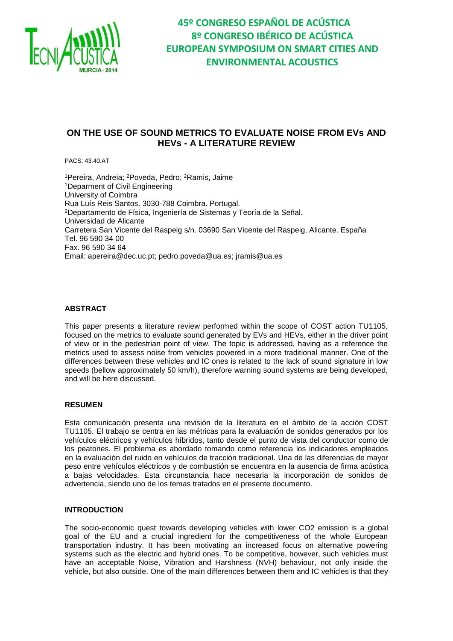

### **ON THE USE OF SOUND METRICS TO EVALUATE NOISE FROM EVs AND HEVs - A LITERATURE REVIEW**

PACS: 43.40.AT

<sup>1</sup>Pereira, Andreia; <sup>2</sup>Poveda, Pedro; <sup>2</sup>Ramis, Jaime <sup>1</sup>Deparment of Civil Engineering University of Coimbra Rua Luís Reis Santos. 3030-788 Coimbra. Portugal. <sup>2</sup>Departamento de Física, Ingeniería de Sistemas y Teoría de la Señal. Universidad de Alicante Carretera San Vicente del Raspeig s/n. 03690 San Vicente del Raspeig, Alicante. España Tel. 96 590 34 00 Fax. 96 590 34 64 Email: [apereira@dec.uc.pt;](mailto:apereira@dec.uc.pt) [pedro.poveda@ua.es;](mailto:pedro.poveda@ua.es) [jramis@ua.es](mailto:jramis@ua.es)

#### **ABSTRACT**

This paper presents a literature review performed within the scope of COST action TU1105, focused on the metrics to evaluate sound generated by EVs and HEVs, either in the driver point of view or in the pedestrian point of view. The topic is addressed, having as a reference the metrics used to assess noise from vehicles powered in a more traditional manner. One of the differences between these vehicles and IC ones is related to the lack of sound signature in low speeds (bellow approximately 50 km/h), therefore warning sound systems are being developed, and will be here discussed.

#### **RESUMEN**

Esta comunicación presenta una revisión de la literatura en el ámbito de la acción COST TU1105. El trabajo se centra en las métricas para la evaluación de sonidos generados por los vehículos eléctricos y vehículos híbridos, tanto desde el punto de vista del conductor como de los peatones. El problema es abordado tomando como referencia los indicadores empleados en la evaluación del ruido en vehículos de tracción tradicional. Una de las diferencias de mayor peso entre vehículos eléctricos y de combustión se encuentra en la ausencia de firma acústica a bajas velocidades. Esta circunstancia hace necesaria la incorporación de sonidos de advertencia, siendo uno de los temas tratados en el presente documento.

#### **INTRODUCTION**

The socio-economic quest towards developing vehicles with lower CO2 emission is a global goal of the EU and a crucial ingredient for the competitiveness of the whole European transportation industry. It has been motivating an increased focus on alternative powering systems such as the electric and hybrid ones. To be competitive, however, such vehicles must have an acceptable Noise, Vibration and Harshness (NVH) behaviour, not only inside the vehicle, but also outside. One of the main differences between them and IC vehicles is that they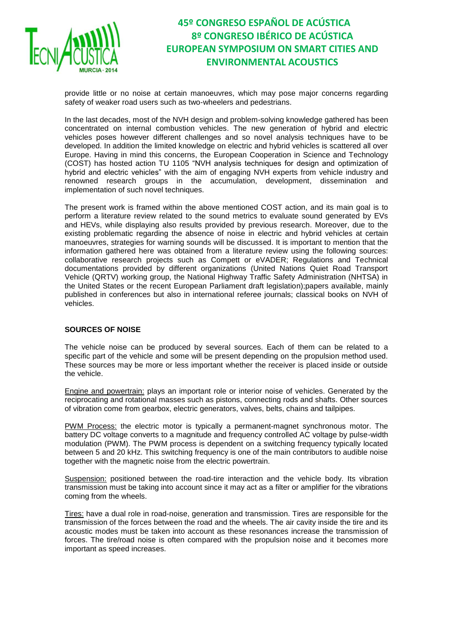

provide little or no noise at certain manoeuvres, which may pose major concerns regarding safety of weaker road users such as two-wheelers and pedestrians.

In the last decades, most of the NVH design and problem-solving knowledge gathered has been concentrated on internal combustion vehicles. The new generation of hybrid and electric vehicles poses however different challenges and so novel analysis techniques have to be developed. In addition the limited knowledge on electric and hybrid vehicles is scattered all over Europe. Having in mind this concerns, the European Cooperation in Science and Technology (COST) has hosted action TU 1105 "NVH analysis techniques for design and optimization of hybrid and electric vehicles" with the aim of engaging NVH experts from vehicle industry and renowned research groups in the accumulation, development, dissemination and implementation of such novel techniques.

The present work is framed within the above mentioned COST action, and its main goal is to perform a literature review related to the sound metrics to evaluate sound generated by EVs and HEVs, while displaying also results provided by previous research. Moreover, due to the existing problematic regarding the absence of noise in electric and hybrid vehicles at certain manoeuvres, strategies for warning sounds will be discussed. It is important to mention that the information gathered here was obtained from a literature review using the following sources: collaborative research projects such as Compett or eVADER; Regulations and Technical documentations provided by different organizations (United Nations Quiet Road Transport Vehicle (QRTV) working group, the National Highway Traffic Safety Administration (NHTSA) in the United States or the recent European Parliament draft legislation);papers available, mainly published in conferences but also in international referee journals; classical books on NVH of vehicles.

### **SOURCES OF NOISE**

The vehicle noise can be produced by several sources. Each of them can be related to a specific part of the vehicle and some will be present depending on the propulsion method used. These sources may be more or less important whether the receiver is placed inside or outside the vehicle.

Engine and powertrain: plays an important role or interior noise of vehicles. Generated by the reciprocating and rotational masses such as pistons, connecting rods and shafts. Other sources of vibration come from gearbox, electric generators, valves, belts, chains and tailpipes.

PWM Process: the electric motor is typically a permanent-magnet synchronous motor. The battery DC voltage converts to a magnitude and frequency controlled AC voltage by pulse-width modulation (PWM). The PWM process is dependent on a switching frequency typically located between 5 and 20 kHz. This switching frequency is one of the main contributors to audible noise together with the magnetic noise from the electric powertrain.

Suspension: positioned between the road-tire interaction and the vehicle body. Its vibration transmission must be taking into account since it may act as a filter or amplifier for the vibrations coming from the wheels.

Tires: have a dual role in road-noise, generation and transmission. Tires are responsible for the transmission of the forces between the road and the wheels. The air cavity inside the tire and its acoustic modes must be taken into account as these resonances increase the transmission of forces. The tire/road noise is often compared with the propulsion noise and it becomes more important as speed increases.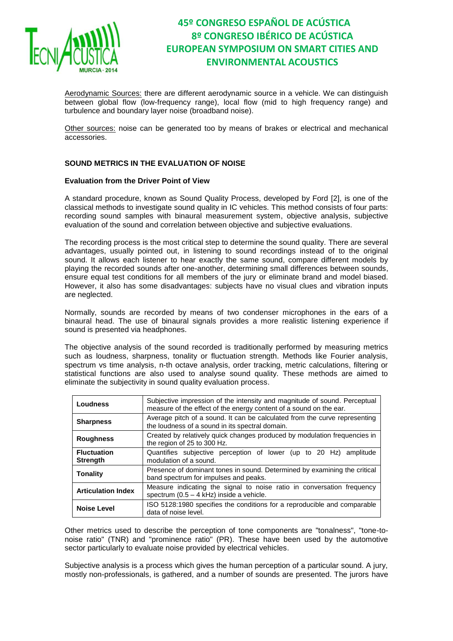

Aerodynamic Sources: there are different aerodynamic source in a vehicle. We can distinguish between global flow (low-frequency range), local flow (mid to high frequency range) and turbulence and boundary layer noise (broadband noise).

Other sources: noise can be generated too by means of brakes or electrical and mechanical accessories.

### **SOUND METRICS IN THE EVALUATION OF NOISE**

#### **Evaluation from the Driver Point of View**

A standard procedure, known as Sound Quality Process, developed by Ford [2], is one of the classical methods to investigate sound quality in IC vehicles. This method consists of four parts: recording sound samples with binaural measurement system, objective analysis, subjective evaluation of the sound and correlation between objective and subjective evaluations.

The recording process is the most critical step to determine the sound quality. There are several advantages, usually pointed out, in listening to sound recordings instead of to the original sound. It allows each listener to hear exactly the same sound, compare different models by playing the recorded sounds after one-another, determining small differences between sounds, ensure equal test conditions for all members of the jury or eliminate brand and model biased. However, it also has some disadvantages: subjects have no visual clues and vibration inputs are neglected.

Normally, sounds are recorded by means of two condenser microphones in the ears of a binaural head. The use of binaural signals provides a more realistic listening experience if sound is presented via headphones.

The objective analysis of the sound recorded is traditionally performed by measuring metrics such as loudness, sharpness, tonality or fluctuation strength. Methods like Fourier analysis, spectrum vs time analysis, n-th octave analysis, order tracking, metric calculations, filtering or statistical functions are also used to analyse sound quality. These methods are aimed to eliminate the subjectivity in sound quality evaluation process.

| <b>Loudness</b>                       | Subjective impression of the intensity and magnitude of sound. Perceptual<br>measure of the effect of the energy content of a sound on the ear. |  |  |  |  |
|---------------------------------------|-------------------------------------------------------------------------------------------------------------------------------------------------|--|--|--|--|
| <b>Sharpness</b>                      | Average pitch of a sound. It can be calculated from the curve representing<br>the loudness of a sound in its spectral domain.                   |  |  |  |  |
| <b>Roughness</b>                      | Created by relatively quick changes produced by modulation frequencies in<br>the region of 25 to 300 Hz.                                        |  |  |  |  |
| <b>Fluctuation</b><br><b>Strength</b> | Quantifies subjective perception of lower (up to 20 Hz) amplitude<br>modulation of a sound.                                                     |  |  |  |  |
| <b>Tonality</b>                       | Presence of dominant tones in sound. Determined by examining the critical<br>band spectrum for impulses and peaks.                              |  |  |  |  |
| <b>Articulation Index</b>             | Measure indicating the signal to noise ratio in conversation frequency<br>spectrum $(0.5 - 4$ kHz) inside a vehicle.                            |  |  |  |  |
| <b>Noise Level</b>                    | ISO 5128:1980 specifies the conditions for a reproducible and comparable<br>data of noise level.                                                |  |  |  |  |

Other metrics used to describe the perception of tone components are "tonalness", "tone-tonoise ratio" (TNR) and "prominence ratio" (PR). These have been used by the automotive sector particularly to evaluate noise provided by electrical vehicles.

Subjective analysis is a process which gives the human perception of a particular sound. A jury, mostly non-professionals, is gathered, and a number of sounds are presented. The jurors have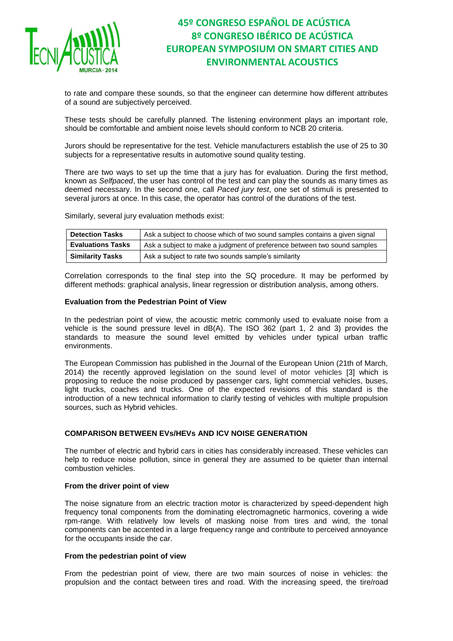

to rate and compare these sounds, so that the engineer can determine how different attributes of a sound are subjectively perceived.

These tests should be carefully planned. The listening environment plays an important role, should be comfortable and ambient noise levels should conform to NCB 20 criteria.

Jurors should be representative for the test. Vehicle manufacturers establish the use of 25 to 30 subjects for a representative results in automotive sound quality testing.

There are two ways to set up the time that a jury has for evaluation. During the first method, known as *Selfpaced*, the user has control of the test and can play the sounds as many times as deemed necessary. In the second one, call *Paced jury test*, one set of stimuli is presented to several jurors at once. In this case, the operator has control of the durations of the test.

Similarly, several jury evaluation methods exist:

| <b>Detection Tasks</b>   | Ask a subject to choose which of two sound samples contains a given signal |
|--------------------------|----------------------------------------------------------------------------|
| <b>Evaluations Tasks</b> | Ask a subject to make a judgment of preference between two sound samples   |
| <b>Similarity Tasks</b>  | Ask a subject to rate two sounds sample's similarity                       |

Correlation corresponds to the final step into the SQ procedure. It may be performed by different methods: graphical analysis, linear regression or distribution analysis, among others.

#### **Evaluation from the Pedestrian Point of View**

In the pedestrian point of view, the acoustic metric commonly used to evaluate noise from a vehicle is the sound pressure level in dB(A). The ISO 362 (part 1, 2 and 3) provides the standards to measure the sound level emitted by vehicles under typical urban traffic environments.

The European Commission has published in the Journal of the European Union (21th of March, 2014) the recently approved legislation on the sound level of motor vehicles [3] which is proposing to reduce the noise produced by passenger cars, light commercial vehicles, buses, light trucks, coaches and trucks. One of the expected revisions of this standard is the introduction of a new technical information to clarify testing of vehicles with multiple propulsion sources, such as Hybrid vehicles.

#### **COMPARISON BETWEEN EVs/HEVs AND ICV NOISE GENERATION**

The number of electric and hybrid cars in cities has considerably increased. These vehicles can help to reduce noise pollution, since in general they are assumed to be quieter than internal combustion vehicles.

#### **From the driver point of view**

The noise signature from an electric traction motor is characterized by speed-dependent high frequency tonal components from the dominating electromagnetic harmonics, covering a wide rpm-range. With relatively low levels of masking noise from tires and wind, the tonal components can be accented in a large frequency range and contribute to perceived annoyance for the occupants inside the car.

#### **From the pedestrian point of view**

From the pedestrian point of view, there are two main sources of noise in vehicles: the propulsion and the contact between tires and road. With the increasing speed, the tire/road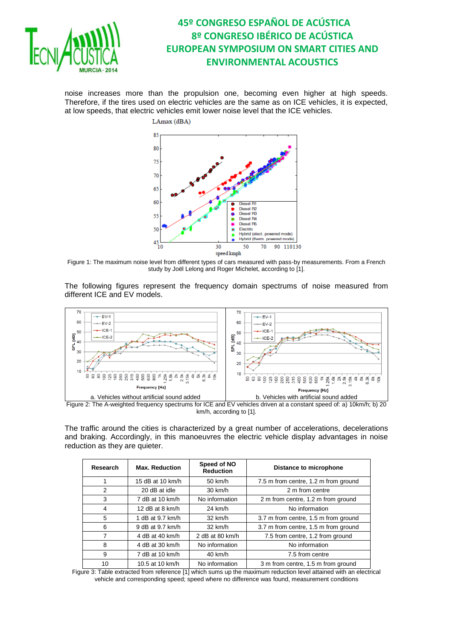

noise increases more than the propulsion one, becoming even higher at high speeds. Therefore, if the tires used on electric vehicles are the same as on ICE vehicles, it is expected, at low speeds, that electric vehicles emit lower noise level that the ICE vehicles.



Figure 1: The maximum noise level from different types of cars measured with pass-by measurements. From a French study by Joël Lelong and Roger Michelet, according to [1].

The following figures represent the frequency domain spectrums of noise measured from different ICE and EV models.



Figure 2: The A-weighted frequency spectrums for ICE and EV vehicles driven at a constant speed of: a) 10km/h; b) 20 km/h, according to [\[1](#page-7-0)].

The traffic around the cities is characterized by a great number of accelerations, decelerations and braking. Accordingly, in this manoeuvres the electric vehicle display advantages in noise reduction as they are quieter.

| Research | <b>Max. Reduction</b> | Speed of NO<br><b>Reduction</b> | Distance to microphone               |
|----------|-----------------------|---------------------------------|--------------------------------------|
| 1        | 15 dB at 10 km/h      | $50 \text{ km/h}$               | 7.5 m from centre, 1.2 m from ground |
| 2        | 20 dB at idle         | $30 \text{ km/h}$               | 2 m from centre                      |
| 3        | 7 dB at 10 km/h       | No information                  | 2 m from centre, 1.2 m from ground   |
| 4        | 12 dB at 8 km/h       | 24 km/h                         | No information                       |
| 5        | 1 dB at 9.7 km/h      | $32 \text{ km/h}$               | 3.7 m from centre, 1.5 m from ground |
| 6        | 9 dB at 9.7 km/h      | $32 \text{ km/h}$               | 3.7 m from centre, 1.5 m from ground |
| 7        | 4 dB at 40 km/h       | 2 dB at 80 km/h                 | 7.5 from centre, 1.2 from ground     |
| 8        | 4 dB at 30 km/h       | No information                  | No information                       |
| 9        | 7 dB at 10 km/h       | 40 km/h                         | 7.5 from centre                      |
| 10       | 10.5 at 10 km/h       | No information                  | 3 m from centre, 1.5 m from ground   |

Figure 3: Table extracted from reference [\[1](#page-7-0)] which sums up the maximum reduction level attained with an electrical vehicle and corresponding speed; speed where no difference was found, measurement conditions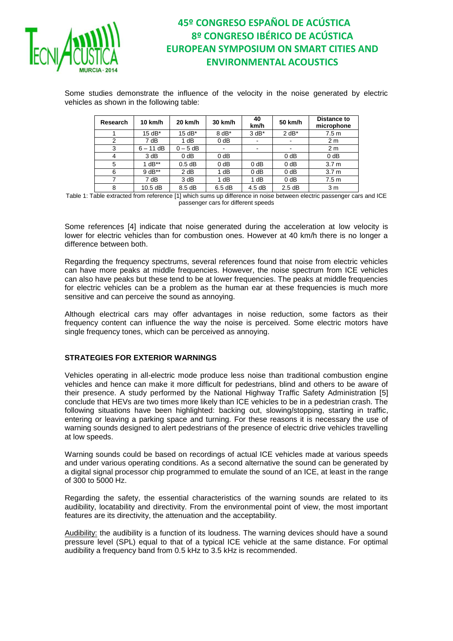

Some studies demonstrate the influence of the velocity in the noise generated by electric vehicles as shown in the following table:

| <b>Research</b> | 10 km/h     | 20 km/h    | 30 km/h | 40<br>km/h               | 50 km/h | <b>Distance to</b><br>microphone |
|-----------------|-------------|------------|---------|--------------------------|---------|----------------------------------|
|                 | 15 dB*      | $15 dB*$   | $8 dB*$ | $3 dB*$                  | $2 dB*$ | 7.5 <sub>m</sub>                 |
| 2               | 7 dB        | 1 dB       | $0$ dB  | $\overline{\phantom{a}}$ |         | 2 <sub>m</sub>                   |
| 3               | $6 - 11$ dB | $0 - 5$ dB |         | $\overline{\phantom{a}}$ |         | 2 <sub>m</sub>                   |
| 4               | 3 dB        | $0$ dB     | $0$ dB  |                          | $0$ dB  | 0 <sub>d</sub> B                 |
| 5               | $1 dB**$    | $0.5$ dB   | $0$ dB  | $0$ dB                   | $0$ dB  | 3.7 <sub>m</sub>                 |
| 6               | $9 dB**$    | 2 dB       | 1 dB    | $0$ dB                   | $0$ dB  | 3.7 <sub>m</sub>                 |
| 7               | 7 dB        | 3 dB       | 1 dB    | 1 dB                     | $0$ dB  | 7.5 <sub>m</sub>                 |
| 8               | 10.5 dB     | 8.5 dB     | 6.5dB   | 4.5dB                    | 2.5dB   | 3 m                              |

Table 1: Table extracted from referenc[e \[1](#page-7-0)] which sums up difference in noise between electric passenger cars and ICE passenger cars for different speeds

Some references [4] indicate that noise generated during the acceleration at low velocity is lower for electric vehicles than for combustion ones. However at 40 km/h there is no longer a difference between both.

Regarding the frequency spectrums, several references found that noise from electric vehicles can have more peaks at middle frequencies. However, the noise spectrum from ICE vehicles can also have peaks but these tend to be at lower frequencies. The peaks at middle frequencies for electric vehicles can be a problem as the human ear at these frequencies is much more sensitive and can perceive the sound as annoying.

Although electrical cars may offer advantages in noise reduction, some factors as their frequency content can influence the way the noise is perceived. Some electric motors have single frequency tones, which can be perceived as annoying.

### **STRATEGIES FOR EXTERIOR WARNINGS**

Vehicles operating in all-electric mode produce less noise than traditional combustion engine vehicles and hence can make it more difficult for pedestrians, blind and others to be aware of their presence. A study performed by the National Highway Traffic Safety Administration [5] conclude that HEVs are two times more likely than ICE vehicles to be in a pedestrian crash. The following situations have been highlighted: backing out, slowing/stopping, starting in traffic, entering or leaving a parking space and turning. For these reasons it is necessary the use of warning sounds designed to alert pedestrians of the presence of electric drive vehicles travelling at low speeds.

Warning sounds could be based on recordings of actual ICE vehicles made at various speeds and under various operating conditions. As a second alternative the sound can be generated by a digital signal processor chip programmed to emulate the sound of an ICE, at least in the range of 300 to 5000 Hz.

Regarding the safety, the essential characteristics of the warning sounds are related to its audibility, locatability and directivity. From the environmental point of view, the most important features are its directivity, the attenuation and the acceptability.

Audibility: the audibility is a function of its loudness. The warning devices should have a sound pressure level (SPL) equal to that of a typical ICE vehicle at the same distance. For optimal audibility a frequency band from 0.5 kHz to 3.5 kHz is recommended.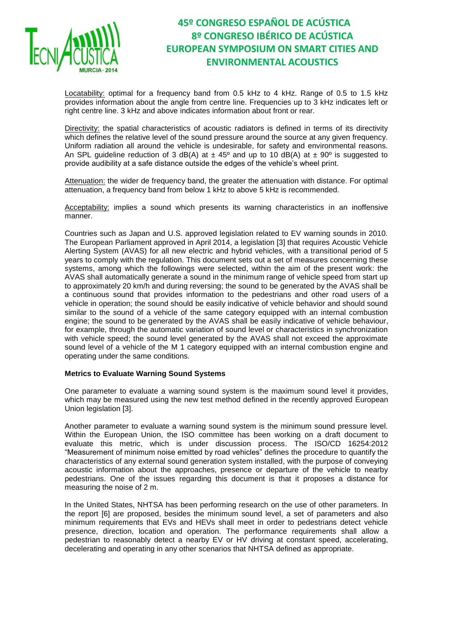

Locatability: optimal for a frequency band from 0.5 kHz to 4 kHz. Range of 0.5 to 1.5 kHz provides information about the angle from centre line. Frequencies up to 3 kHz indicates left or right centre line. 3 kHz and above indicates information about front or rear.

Directivity: the spatial characteristics of acoustic radiators is defined in terms of its directivity which defines the relative level of the sound pressure around the source at any given frequency. Uniform radiation all around the vehicle is undesirable, for safety and environmental reasons. An SPL guideline reduction of 3 dB(A) at  $\pm$  45<sup>o</sup> and up to 10 dB(A) at  $\pm$  90<sup>o</sup> is suggested to provide audibility at a safe distance outside the edges of the vehicle's wheel print.

Attenuation: the wider de frequency band, the greater the attenuation with distance. For optimal attenuation, a frequency band from below 1 kHz to above 5 kHz is recommended.

Acceptability: implies a sound which presents its warning characteristics in an inoffensive manner.

Countries such as Japan and U.S. approved legislation related to EV warning sounds in 2010. The European Parliament approved in April 2014, a legislation [3] that requires Acoustic Vehicle Alerting System (AVAS) for all new electric and hybrid vehicles, with a transitional period of 5 years to comply with the regulation. This document sets out a set of measures concerning these systems, among which the followings were selected, within the aim of the present work: the AVAS shall automatically generate a sound in the minimum range of vehicle speed from start up to approximately 20 km/h and during reversing; the sound to be generated by the AVAS shall be a continuous sound that provides information to the pedestrians and other road users of a vehicle in operation; the sound should be easily indicative of vehicle behavior and should sound similar to the sound of a vehicle of the same category equipped with an internal combustion engine; the sound to be generated by the AVAS shall be easily indicative of vehicle behaviour, for example, through the automatic variation of sound level or characteristics in synchronization with vehicle speed; the sound level generated by the AVAS shall not exceed the approximate sound level of a vehicle of the M 1 category equipped with an internal combustion engine and operating under the same conditions.

#### **Metrics to Evaluate Warning Sound Systems**

One parameter to evaluate a warning sound system is the maximum sound level it provides, which may be measured using the new test method defined in the recently approved European Union legislation [3].

Another parameter to evaluate a warning sound system is the minimum sound pressure level. Within the European Union, the ISO committee has been working on a draft document to evaluate this metric, which is under discussion process. The ISO/CD 16254:2012 "Measurement of minimum noise emitted by road vehicles" defines the procedure to quantify the characteristics of any external sound generation system installed, with the purpose of conveying acoustic information about the approaches, presence or departure of the vehicle to nearby pedestrians. One of the issues regarding this document is that it proposes a distance for measuring the noise of 2 m.

In the United States, NHTSA has been performing research on the use of other parameters. In the report [6] are proposed, besides the minimum sound level, a set of parameters and also minimum requirements that EVs and HEVs shall meet in order to pedestrians detect vehicle presence, direction, location and operation. The performance requirements shall allow a pedestrian to reasonably detect a nearby EV or HV driving at constant speed, accelerating, decelerating and operating in any other scenarios that NHTSA defined as appropriate.